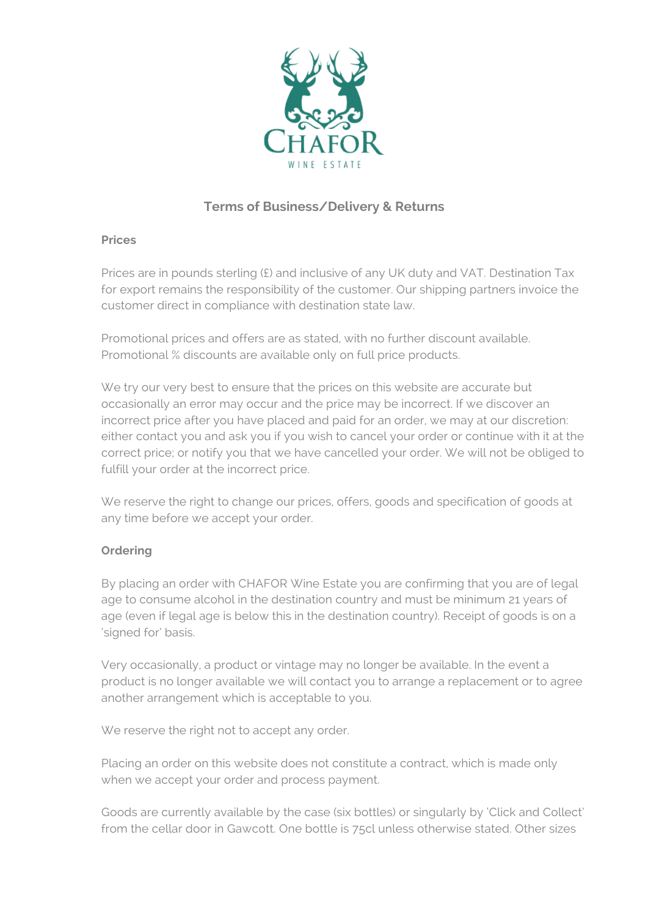

# **Terms of Business/Delivery & Returns**

## **Prices**

Prices are in pounds sterling (£) and inclusive of any UK duty and VAT. Destination Tax for export remains the responsibility of the customer. Our shipping partners invoice the customer direct in compliance with destination state law.

Promotional prices and offers are as stated, with no further discount available. Promotional % discounts are available only on full price products.

We try our very best to ensure that the prices on this website are accurate but occasionally an error may occur and the price may be incorrect. If we discover an incorrect price after you have placed and paid for an order, we may at our discretion: either contact you and ask you if you wish to cancel your order or continue with it at the correct price; or notify you that we have cancelled your order. We will not be obliged to fulfill your order at the incorrect price.

We reserve the right to change our prices, offers, goods and specification of goods at any time before we accept your order.

## **Ordering**

By placing an order with CHAFOR Wine Estate you are confirming that you are of legal age to consume alcohol in the destination country and must be minimum 21 years of age (even if legal age is below this in the destination country). Receipt of goods is on a 'signed for' basis.

Very occasionally, a product or vintage may no longer be available. In the event a product is no longer available we will contact you to arrange a replacement or to agree another arrangement which is acceptable to you.

We reserve the right not to accept any order.

Placing an order on this website does not constitute a contract, which is made only when we accept your order and process payment.

Goods are currently available by the case (six bottles) or singularly by 'Click and Collect' from the cellar door in Gawcott. One bottle is 75cl unless otherwise stated. Other sizes